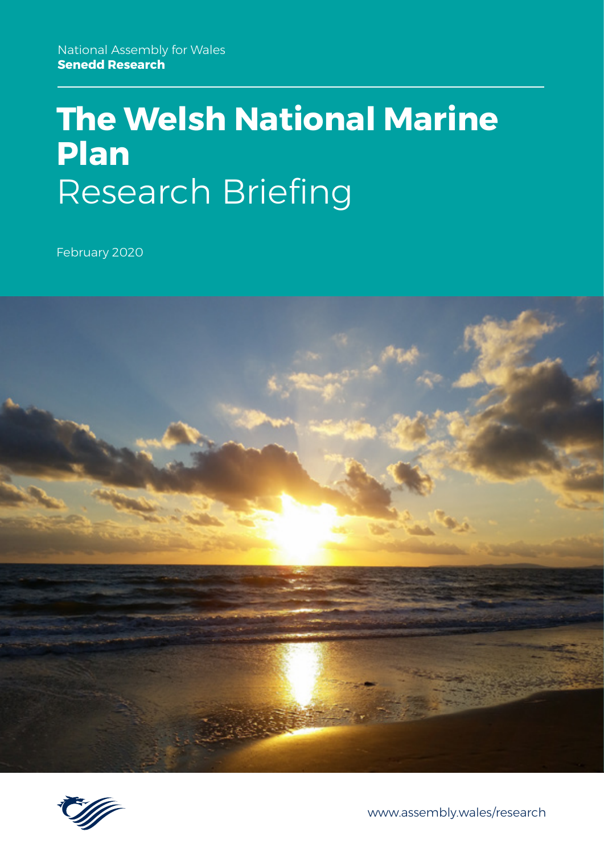# **The Welsh National Marine Plan** Research Briefing

February 2020





[www.assembly.wales/research](http://www.assembly.wales/research)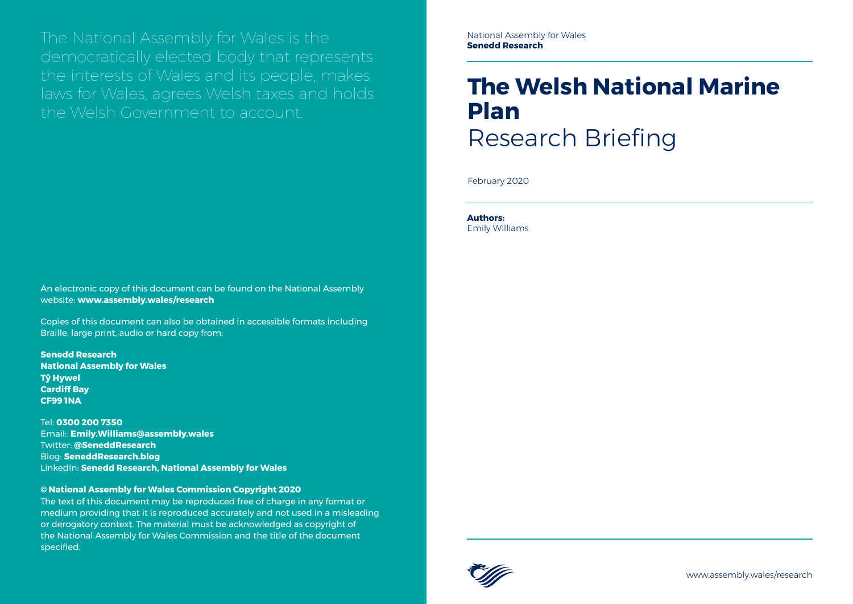The National Assembly for Wales is the democratically elected body that represents the interests of Wales and its people, makes laws for Wales, agrees Welsh taxes and holds the Welsh Government to account.

[www.assembly.wales/research](http://www.assembly.wales/research)

An electronic copy of this document can be found on the National Assembly website: **www.assembly.wales/research**

Copies of this document can also be obtained in accessible formats including Braille, large print, audio or hard copy from:

**Senedd Research National Assembly for Wales Tŷ Hywel Cardiff Bay CF99 1NA**

Tel: **0300 200 7350** Email: **[Emily.Williams@assembly.wales](mailto:Emily.Williams%40assembly.wales?subject=)** Twitter: **[@SeneddResearch](http://www.twitter.com/@SeneddResearch)** Blog: **[SeneddResearch.blog](http://SeneddResearch.blog)** LinkedIn: **[Senedd Research, National Assembly for Wales](https://www.linkedin.com/company/senedd-research-national-assembly-for-wales)**

#### **© National Assembly for Wales Commission Copyright 2020**

The text of this document may be reproduced free of charge in any format or medium providing that it is reproduced accurately and not used in a misleading or derogatory context. The material must be acknowledged as copyright of the National Assembly for Wales Commission and the title of the document specified.

# **The Welsh National Marine Plan** Research Briefing

February 2020

**Authors:**  Emily Williams

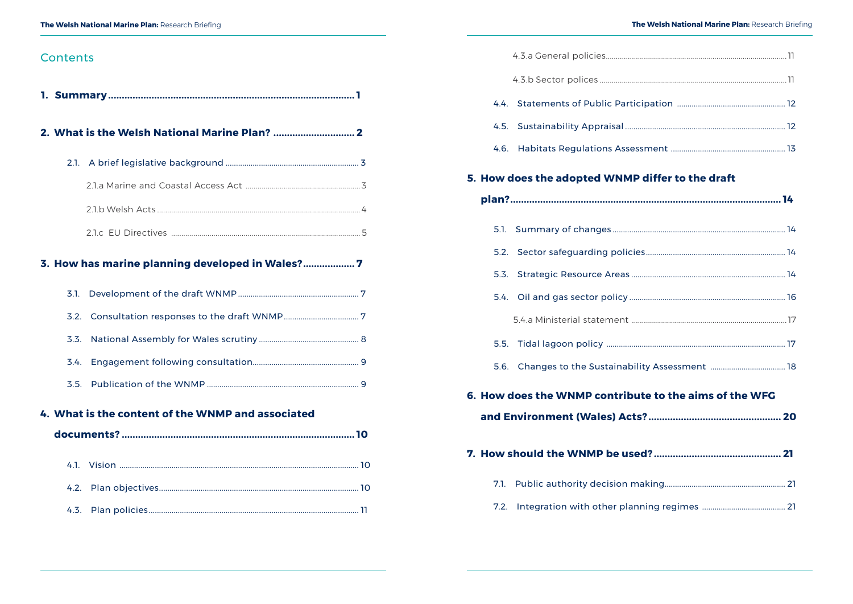# Contents

|                  | 3. How has marine planning developed in Wales? 7  |  |
|------------------|---------------------------------------------------|--|
| 3.1 <sub>1</sub> |                                                   |  |
|                  |                                                   |  |
| 3.3.             |                                                   |  |
| 3.4.             |                                                   |  |
|                  |                                                   |  |
|                  | 4. What is the content of the WNMP and associated |  |
|                  |                                                   |  |

|      | 5. How does the adopted WNMP differ to the draft       |  |
|------|--------------------------------------------------------|--|
|      |                                                        |  |
| 5.1. |                                                        |  |
|      |                                                        |  |
|      |                                                        |  |
|      |                                                        |  |
|      |                                                        |  |
|      |                                                        |  |
|      | 5.6. Changes to the Sustainability Assessment  18      |  |
|      | 6. How does the WNMP contribute to the aims of the WFG |  |
|      |                                                        |  |
|      |                                                        |  |
| 7.1. |                                                        |  |
| 7.2. |                                                        |  |

- 
-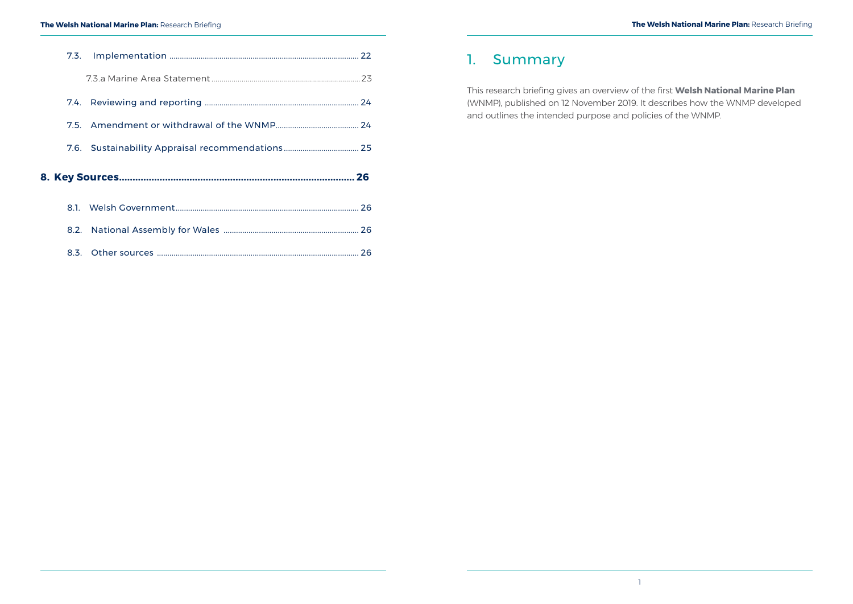<span id="page-3-0"></span>

|  |  | 7.6. Sustainability Appraisal recommendations 25 |  |
|--|--|--------------------------------------------------|--|
|  |  |                                                  |  |
|  |  |                                                  |  |
|  |  |                                                  |  |
|  |  |                                                  |  |

#### **The Welsh National Marine Plan:** Research Briefing

# 1. Summary

This research briefing gives an overview of the first **[Welsh National Marine Plan](https://gov.wales/marine-planning)** (WNMP), published on 12 November 2019. It describes how the WNMP developed and outlines the intended purpose and policies of the WNMP.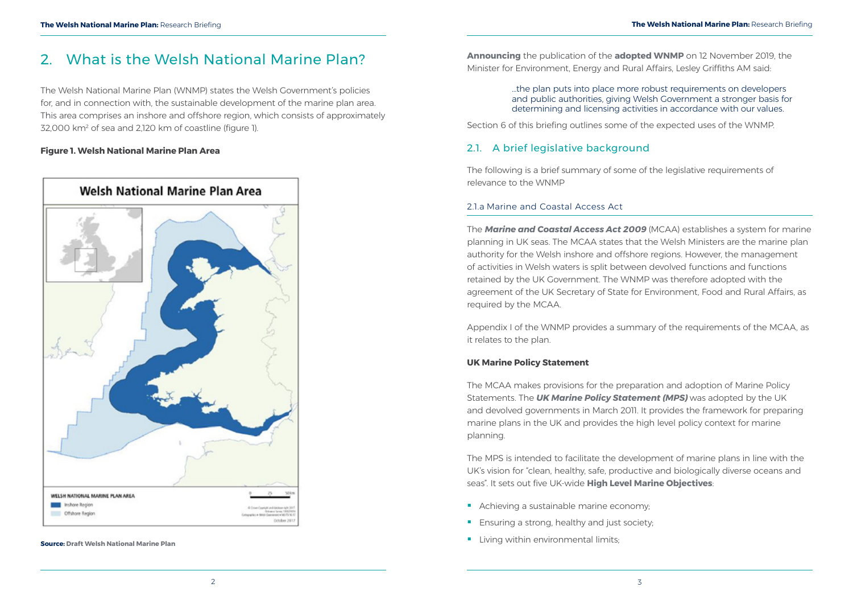The Welsh National Marine Plan (WNMP) states the Welsh Government's policies for, and in connection with, the sustainable development of the marine plan area. This area comprises an inshore and offshore region, which consists of approximately 32,000 km² of sea and 2,120 km of coastline (figure 1).

# <span id="page-4-0"></span>2. What is the Welsh National Marine Plan?

### **Figure 1. Welsh National Marine Plan Area**

**Announcing** the publication of the **[adopted WNMP](https://gov.wales/marine-planning)** on 12 November 2019, the Minister for Environment, Energy and Rural Affairs, Lesley Griffiths AM said:

> …the plan puts into place more robust requirements on developers and public authorities, giving Welsh Government a stronger basis for determining and licensing activities in accordance with our values.

Section 6 of this briefing outlines some of the expected uses of the WNMP.

# 2.1. A brief legislative background

The following is a brief summary of some of the legislative requirements of relevance to the WNMP

### 2.1.a Marine and Coastal Access Act

The *[Marine and Coastal Access Act 2009](http://www.legislation.gov.uk/ukpga/2009/23/contents)* (MCAA) establishes a system for marine planning in UK seas. The MCAA states that the Welsh Ministers are the marine plan authority for the Welsh inshore and offshore regions. However, the management of activities in Welsh waters is split between devolved functions and functions retained by the UK Government. The WNMP was therefore adopted with the agreement of the UK Secretary of State for Environment, Food and Rural Affairs, as required by the MCAA.

Appendix I of the WNMP provides a summary of the requirements of the MCAA, as it relates to the plan.

### **UK Marine Policy Statement**

The MCAA makes provisions for the preparation and adoption of Marine Policy Statements. The *[UK Marine Policy Statement \(MPS\)](https://www.gov.uk/government/publications/uk-marine-policy-statement)* was adopted by the UK and devolved governments in March 2011. It provides the framework for preparing marine plans in the UK and provides the high level policy context for marine planning.

The MPS is intended to facilitate the development of marine plans in line with the UK's vision for "clean, healthy, safe, productive and biologically diverse oceans and seas". It sets out five UK-wide **[High Level Marine Objectives](https://www.gov.uk/government/publications/our-seas-a-shared-resource-high-level-marine-objectives)**:

- Achieving a sustainable marine economy:
- **Ensuring a strong, healthy and just society:**
- 

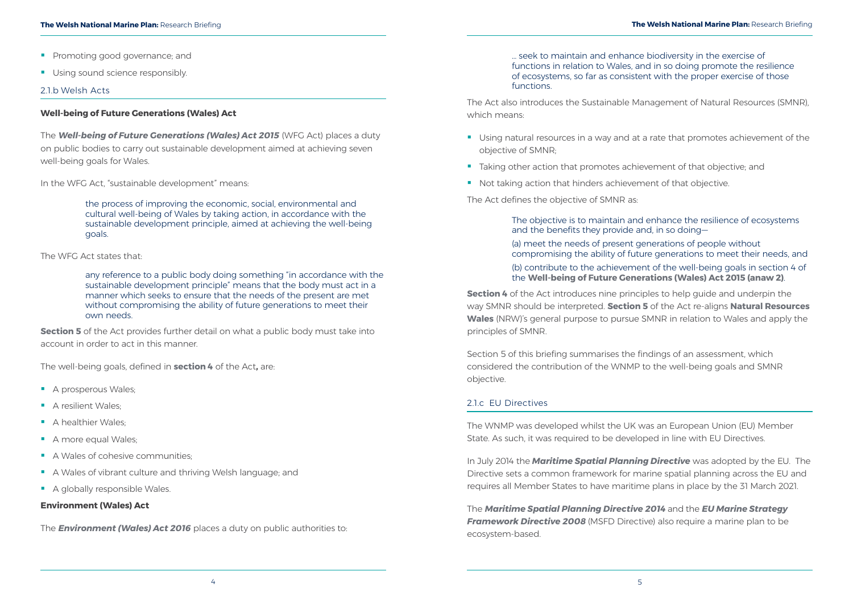- **Promoting good governance; and**
- Using sound science responsibly.

#### <span id="page-5-0"></span>**The Welsh National Marine Plan:** Research Briefing **The Welsh National Marine Plan:** Research Briefing

#### 2.1.b Welsh Acts

#### **Well-being of Future Generations (Wales) Act**

The *[Well-being of Future Generations \(Wales\) Act 2015](http://www.legislation.gov.uk/anaw/2015/2/contents/enacted)* (WFG Act) places a duty on public bodies to carry out sustainable development aimed at achieving seven well-being goals for Wales.

In the WFG Act, "sustainable development" means:

**[Section 5](http://www.legislation.gov.uk/anaw/2015/2/section/5/enacted)** of the Act provides further detail on what a public body must take into account in order to act in this manner.

the process of improving the economic, social, environmental and cultural well-being of Wales by taking action, in accordance with the sustainable development principle, aimed at achieving the well-being goals.

The WFG Act states that:

any reference to a public body doing something "in accordance with the sustainable development principle" means that the body must act in a manner which seeks to ensure that the needs of the present are met without compromising the ability of future generations to meet their own needs.

The well-being goals, defined in **section 4** [of the Act](http://www.legislation.gov.uk/anaw/2015/2/section/4/enacted)**,** are:

- A prosperous Wales;
- A resilient Wales:
- A healthier Wales:
- A more equal Wales;
- A Wales of cohesive communities:
- A Wales of vibrant culture and thriving Welsh language; and
- A globally responsible Wales.

**[Section 4](http://www.legislation.gov.uk/anaw/2016/3/section/4/enacted)** of the Act introduces nine principles to help guide and underpin the way SMNR should be interpreted. **[Section 5](http://www.legislation.gov.uk/anaw/2016/3/section/5/enacted)** of the Act re-aligns **[Natural Resources](https://naturalresources.wales/splash?orig=%2f&lang=cy)  [Wales](https://naturalresources.wales/splash?orig=%2f&lang=cy)** (NRW)'s general purpose to pursue SMNR in relation to Wales and apply the principles of SMNR.

#### **Environment (Wales) Act**

The *[Environment \(Wales\) Act 2016](http://www.legislation.gov.uk/anaw/2016/3/contents/enacted)* places a duty on public authorities to:

… seek to maintain and enhance biodiversity in the exercise of functions in relation to Wales, and in so doing promote the resilience of ecosystems, so far as consistent with the proper exercise of those functions.

The Act also introduces the Sustainable Management of Natural Resources (SMNR), which means:

- **Using natural resources in a way and at a rate that promotes achievement of the** objective of SMNR;
- **Taking other action that promotes achievement of that objective; and**
- Not taking action that hinders achievement of that objective.

The Act defines the objective of SMNR as:

The objective is to maintain and enhance the resilience of ecosystems and the benefits they provide and, in so doing— (a) meet the needs of present generations of people without compromising the ability of future generations to meet their needs, and (b) contribute to the achievement of the well-being goals in section 4 of the **[Well-being of Future Generations \(Wales\) Act 2015 \(anaw 2\)](http://www.legislation.gov.uk/id/anaw/2015/2)**.

Section 5 of this briefing summarises the findings of an assessment, which considered the contribution of the WNMP to the well-being goals and SMNR objective.

#### 2.1.c  EU Directives

The WNMP was developed whilst the UK was an European Union (EU) Member State. As such, it was required to be developed in line with EU Directives.

In July 2014 the *[Maritime Spatial Planning Directive](https://eur-lex.europa.eu/legal-content/EN/TXT/?uri=uriserv:OJ.L_.2014.257.01.0135.01.ENG)* was adopted by the EU. The Directive sets a common framework for marine spatial planning across the EU and requires all Member States to have maritime plans in place by the 31 March 2021.

The *[Maritime Spatial Planning Directive](https://ec.europa.eu/maritimeaffairs/policy/maritime_spatial_planning_en) 2014* and the *[EU Marine Strategy](http://ec.europa.eu/environment/marine/eu-coast-and-marine-policy/marine-strategy-framework-directive/index_en.htm)  [Framework Directive](http://ec.europa.eu/environment/marine/eu-coast-and-marine-policy/marine-strategy-framework-directive/index_en.htm) 2008* (MSFD Directive) also require a marine plan to be ecosystem-based.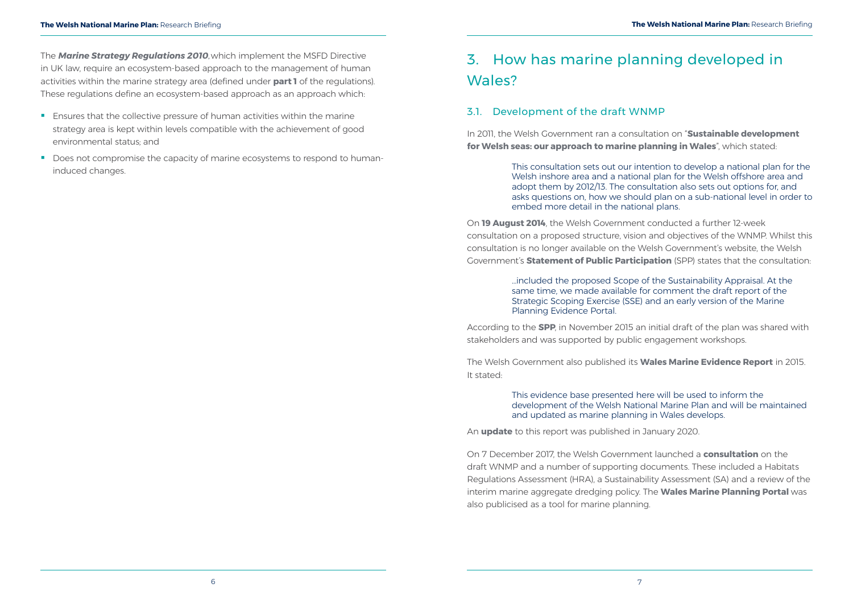- <span id="page-6-0"></span>**Ensures that the collective pressure of human activities within the marine** strategy area is kept within levels compatible with the achievement of good environmental status; and
- Does not compromise the capacity of marine ecosystems to respond to humaninduced changes.

# 3. How has marine planning developed in Wales?

# 3.1. Development of the draft WNMP

In 2011, the Welsh Government ran a consultation on "**[Sustainable development](https://gov.wales/sustainable-development-welsh-seas-our-approach-marine-planning-wales)  [for Welsh seas: our approach to marine planning in Wales](https://gov.wales/sustainable-development-welsh-seas-our-approach-marine-planning-wales)**", which stated:

> This consultation sets out our intention to develop a national plan for the Welsh inshore area and a national plan for the Welsh offshore area and adopt them by 2012/13. The consultation also sets out options for, and asks questions on, how we should plan on a sub-national level in order to embed more detail in the national plans.

On **[19 August 2014](https://uk.practicallaw.thomsonreuters.com/1-579-4867?transitionType=Default&contextData=(sc.Default)&firstPage=true&bhcp=1)**, the Welsh Government conducted a further 12-week consultation on a proposed structure, vision and objectives of the WNMP. Whilst this consultation is no longer available on the Welsh Government's website, the Welsh Government's **[Statement of Public Participation](https://gov.wales/statement-public-participation-welsh-national-marine-plan)** (SPP) states that the consultation:

> …included the proposed Scope of the Sustainability Appraisal. At the same time, we made available for comment the draft report of the Strategic Scoping Exercise (SSE) and an early version of the Marine Planning Evidence Portal.

According to the **[SPP](https://gov.wales/statement-public-participation-welsh-national-marine-plan)**, in November 2015 an initial draft of the plan was shared with stakeholders and was supported by public engagement workshops.

The Welsh Government also published its **[Wales Marine Evidence Report](https://gov.wales/wales-marine-evidence-report-wmer)** in 2015. It stated:

> This evidence base presented here will be used to inform the development of the Welsh National Marine Plan and will be maintained and updated as marine planning in Wales develops.

An **[update](https://gov.wales/update-wales-marine-evidence-report-january-2020)** to this report was published in January 2020.

On 7 December 2017, the Welsh Government launched a **[consultation](https://gov.wales/draft-welsh-national-marine-plan)** on the draft WNMP and a number of supporting documents. These included a Habitats Regulations Assessment (HRA), a Sustainability Assessment (SA) and a review of the interim marine aggregate dredging policy. The **Wales Marine Planning Portal** was also publicised as a tool for marine planning.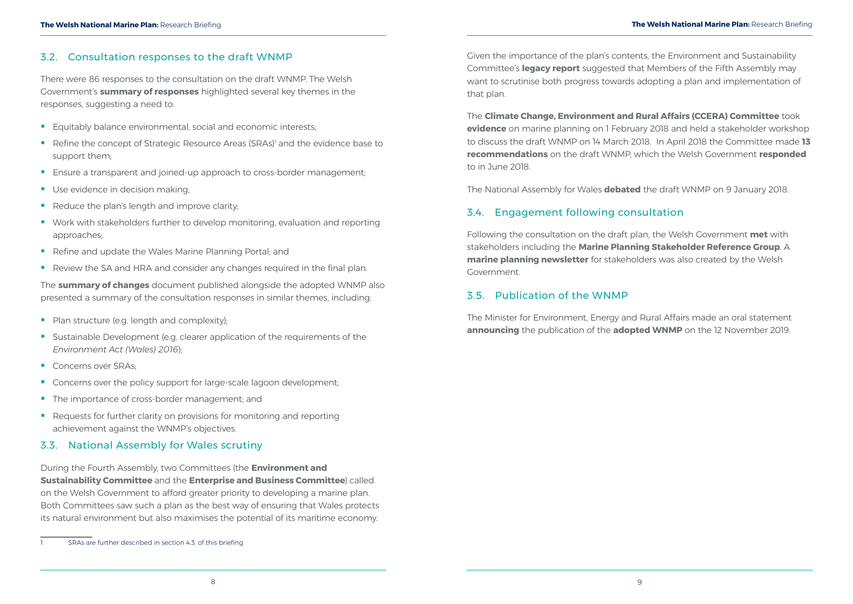# <span id="page-7-0"></span>3.2. Consultation responses to the draft WNMP

There were 86 responses to the consultation on the draft WNMP. The Welsh Government's **[summary of responses](https://gov.wales/draft-welsh-national-marine-plan)** highlighted several key themes in the responses, suggesting a need to:

- **Equitably balance environmental, social and economic interests;**
- Refine the concept of Strategic Resource Areas (SRAs)<sup>1</sup> and the evidence base to support them;
- **Ensure a transparent and joined-up approach to cross-border management;**
- Use evidence in decision making;
- Reduce the plan's length and improve clarity;
- Work with stakeholders further to develop monitoring, evaluation and reporting approaches;
- Refine and update the Wales Marine Planning Portal; and
- Review the SA and HRA and consider any changes required in the final plan.

- Plan structure (e.g. length and complexity);
- Sustainable Development (e.g. clearer application of the requirements of the *Environment Act (Wales) 2016*);
- Concerns over SRAs:
- Concerns over the policy support for large-scale lagoon development;
- The importance of cross-border management; and
- Requests for further clarity on provisions for monitoring and reporting achievement against the WNMP's objectives.

The **[summary of changes](https://gov.wales/welsh-national-marine-plan-summary-changes-following-consultation-draft-plan)** document published alongside the adopted WNMP also presented a summary of the consultation responses in similar themes, including:

## 3.3. National Assembly for Wales scrutiny

During the Fourth Assembly, two Committees (the **[Environment and](http://www.senedd.assembly.wales/mgIssueHistoryHome.aspx?IId=4412&Opt=0)  [Sustainability Committee](http://www.senedd.assembly.wales/mgIssueHistoryHome.aspx?IId=4412&Opt=0)** and the **[Enterprise and Business Committee](http://www.senedd.assembly.wales/mgIssueHistoryHome.aspx?IId=13275)**) called on the Welsh Government to afford greater priority to developing a marine plan. Both Committees saw such a plan as the best way of ensuring that Wales protects its natural environment but also maximises the potential of its maritime economy.

1 SRAs are further described in section 4.3. of this briefing

Given the importance of the plan's contents, the Environment and Sustainability Committee's **[legacy report](http://senedd.assembly.wales/mgIssueHistoryHome.aspx?IId=2255)** suggested that Members of the Fifth Assembly may want to scrutinise both progress towards adopting a plan and implementation of that plan.

The **[Climate Change, Environment and Rural Affairs \(CCERA\) Committee](https://www.assembly.wales/en/bus-home/committees/Pages/Committee-Profile.aspx?cid=444)** took **[evidence](http://senedd.assembly.wales/ieListDocuments.aspx?CId=444&MId=4544&Ver=4)** on marine planning on 1 February 2018 and held a stakeholder workshop to discuss the draft WNMP on 14 March 2018. In April 2018 the Committee made **[13](http://senedd.assembly.wales/mgIssueHistoryHome.aspx?IId=15122)  [recommendations](http://senedd.assembly.wales/mgIssueHistoryHome.aspx?IId=15122)** on the draft WNMP, which the Welsh Government **[responded](http://senedd.assembly.wales/mgIssueHistoryHome.aspx?IId=15122)** to in June 2018.

The National Assembly for Wales **[debated](http://www.senedd.assembly.wales/ieListDocuments.aspx?MId=4893)** the draft WNMP on 9 January 2018.

# 3.4. Engagement following consultation

Following the consultation on the draft plan, the Welsh Government **[met](https://gov.wales/marine-planning-stakeholder-reference-group?_ga=2.21187323.1725728134.1579518715-1348418462.1562142518)** with stakeholders including the **[Marine Planning Stakeholder Reference Group](https://gov.wales/marine-planning-stakeholder-reference-group?_ga=2.151325374.626717032.1577976194-1348418462.1562142518)**. A **[marine planning newsletter](https://gov.wales/subscribe-marine-planning-newsletter)** for stakeholders was also created by the Welsh Government.

# 3.5. Publication of the WNMP

The Minister for Environment, Energy and Rural Affairs made an oral statement **announcing** the publication of the **[adopted WNMP](https://gov.wales/marine-planning)** on the 12 November 2019.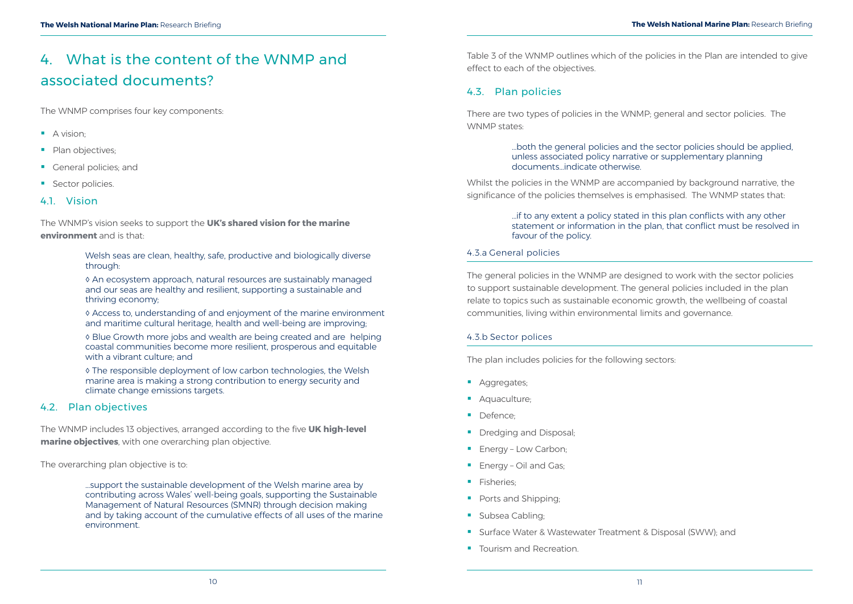<span id="page-8-0"></span>The WNMP comprises four key components:

- A vision;
- Plan objectives;
- Ceneral policies; and
- **Sector policies.**

# 4.1 Vision

The WNMP's vision seeks to support the **[UK's shared vision for the marine](https://www.gov.uk/government/publications/safeguarding-our-seas)  [environment](https://www.gov.uk/government/publications/safeguarding-our-seas)** and is that:

> Welsh seas are clean, healthy, safe, productive and biologically diverse through:

> ◊ An ecosystem approach, natural resources are sustainably managed and our seas are healthy and resilient, supporting a sustainable and thriving economy;

◊ Access to, understanding of and enjoyment of the marine environment and maritime cultural heritage, health and well-being are improving;

◊ Blue Growth more jobs and wealth are being created and are helping coastal communities become more resilient, prosperous and equitable with a vibrant culture; and

There are two types of policies in the WNMP; general and sector policies. The WNMP states:

◊ The responsible deployment of low carbon technologies, the Welsh marine area is making a strong contribution to energy security and climate change emissions targets.

# 4.2. Plan objectives

The WNMP includes 13 objectives, arranged according to the five **[UK high-level](https://www.gov.uk/government/publications/our-seas-a-shared-resource-high-level-marine-objectives)  [marine objectives](https://www.gov.uk/government/publications/our-seas-a-shared-resource-high-level-marine-objectives)**, with one overarching plan objective.

The overarching plan objective is to:

...support the sustainable development of the Welsh marine area by contributing across Wales' well-being goals, supporting the Sustainable Management of Natural Resources (SMNR) through decision making and by taking account of the cumulative effects of all uses of the marine environment.

Table 3 of the WNMP outlines which of the policies in the Plan are intended to give effect to each of the objectives.

# 4.3. Plan policies

# …both the general policies and the sector policies should be applied,

unless associated policy narrative or supplementary planning documents…indicate otherwise.

Whilst the policies in the WNMP are accompanied by background narrative, the significance of the policies themselves is emphasised. The WNMP states that:

#### …if to any extent a policy stated in this plan conflicts with any other statement or information in the plan, that conflict must be resolved in

favour of the policy.

## 4.3.a General policies

The general policies in the WNMP are designed to work with the sector policies to support sustainable development. The general policies included in the plan relate to topics such as sustainable economic growth, the wellbeing of coastal communities, living within environmental limits and governance.

## 4.3.b Sector polices

The plan includes policies for the following sectors:

- Aggregates:
- **Aquaculture:**
- Defence:
- Dredging and Disposal;
- **Energy Low Carbon;**
- **Energy Oil and Gas;**
- **Fisheries;**
- Ports and Shipping;
- **Subsea Cabling;**
- **Surface Water & Wastewater Treatment & Disposal (SWW); and**
- **Tourism and Recreation.**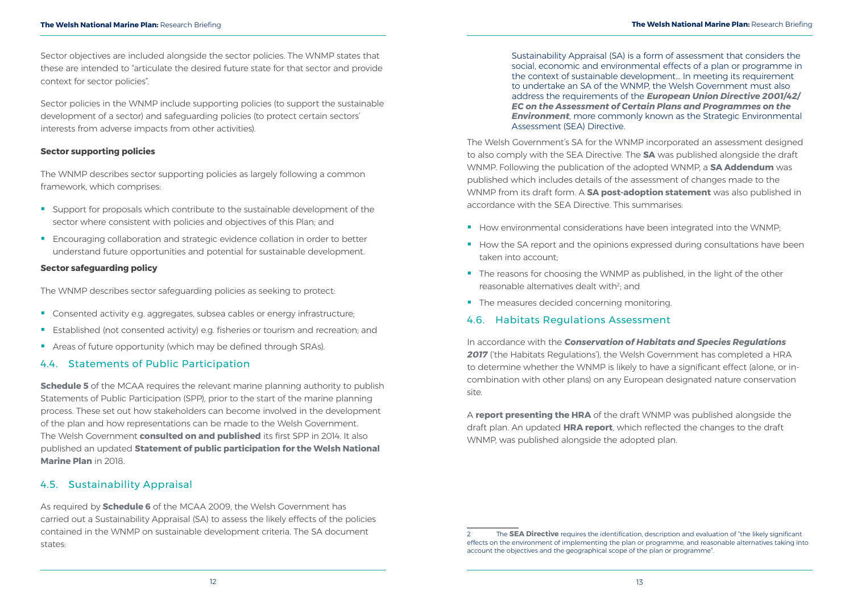<span id="page-9-0"></span>Sector objectives are included alongside the sector policies. The WNMP states that these are intended to "articulate the desired future state for that sector and provide context for sector policies".

Sector policies in the WNMP include supporting policies (to support the sustainable development of a sector) and safeguarding policies (to protect certain sectors' interests from adverse impacts from other activities).

- Support for proposals which contribute to the sustainable development of the sector where consistent with policies and objectives of this Plan; and
- **Encouraging collaboration and strategic evidence collation in order to better** understand future opportunities and potential for sustainable development.

### **Sector supporting policies**

The WNMP describes sector supporting policies as largely following a common framework, which comprises:

**[Schedule 5](http://www.legislation.gov.uk/ukpga/2009/23/schedule/5)** of the MCAA requires the relevant marine planning authority to publish Statements of Public Participation (SPP), prior to the start of the marine planning process. These set out how stakeholders can become involved in the development of the plan and how representations can be made to the Welsh Government. The Welsh Government **[consulted on and published](https://seneddresearch.blog/2014/12/11/new-publication-marine-spatial-planning/)** its first SPP in 2014. It also published an updated **[Statement of public participation for the Welsh National](https://gov.wales/statement-public-participation-welsh-national-marine-plan)  [Marine Plan](https://gov.wales/statement-public-participation-welsh-national-marine-plan)** in 2018.

#### **Sector safeguarding policy**

The WNMP describes sector safeguarding policies as seeking to protect:

- Consented activity e.g. aggregates, subsea cables or energy infrastructure;
- **Established (not consented activity) e.g. fisheries or tourism and recreation; and**
- Areas of future opportunity (which may be defined through SRAs).

## 4.4. Statements of Public Participation

### 4.5. Sustainability Appraisal

As required by **[Schedule 6](http://www.legislation.gov.uk/ukpga/2009/23/schedule/6)** of the MCAA 2009, the Welsh Government has carried out a Sustainability Appraisal (SA) to assess the likely effects of the policies contained in the WNMP on sustainable development criteria. The SA document states:

Sustainability Appraisal (SA) is a form of assessment that considers the social, economic and environmental effects of a plan or programme in the context of sustainable development… In meeting its requirement to undertake an SA of the WNMP, the Welsh Government must also address the requirements of the *[European Union Directive 2001/42/](https://ec.europa.eu/environment/eia/sea-legalcontext.htm) [EC on the Assessment of Certain Plans and Programmes on the](https://ec.europa.eu/environment/eia/sea-legalcontext.htm)  [Environment](https://ec.europa.eu/environment/eia/sea-legalcontext.htm)*, more commonly known as the Strategic Environmental Assessment (SEA) Directive.

The Welsh Government's SA for the WNMP incorporated an assessment designed to also comply with the SEA Directive. The **[SA](https://gov.wales/draft-welsh-national-marine-plan)** was published alongside the draft WNMP. Following the publication of the adopted WNMP, a **[SA Addendum](https://gov.wales/welsh-national-marine-plan-sustainability-appraisal)** was published which includes details of the assessment of changes made to the WNMP from its draft form. A **[SA post-adoption statement](https://gov.wales/welsh-national-marine-plan-sustainability-appraisal)** was also published in accordance with the SEA Directive. This summarises:

- How environmental considerations have been integrated into the WNMP;
- How the SA report and the opinions expressed during consultations have been taken into account;
- The reasons for choosing the WNMP as published, in the light of the other reasonable alternatives dealt with<sup>2</sup>; and
- The measures decided concerning monitoring.

### 4.6. Habitats Regulations Assessment

In accordance with the *[Conservation of Habitats and Species Regulations](http://www.legislation.gov.uk/uksi/2017/1012/regulation/63/made)*  **[2017](http://www.legislation.gov.uk/uksi/2017/1012/regulation/63/made)** ('the Habitats Regulations'), the Welsh Government has completed a HRA to determine whether the WNMP is likely to have a significant effect (alone, or incombination with other plans) on any European designated nature conservation site.

A **[report presenting the HRA](https://gov.wales/draft-welsh-national-marine-plan)** of the draft WNMP was published alongside the draft plan. An updated **[HRA report](https://gov.wales/welsh-national-marine-plan-habitats-regulation-assessment)**, which reflected the changes to the draft WNMP, was published alongside the adopted plan.

<sup>2</sup> The **[SEA Directive](https://eur-lex.europa.eu/legal-content/EN/TXT/?uri=CELEX:32001L0042)** requires the identification, description and evaluation of "the likely significant effects on the environment of implementing the plan or programme, and reasonable alternatives taking into account the objectives and the geographical scope of the plan or programme".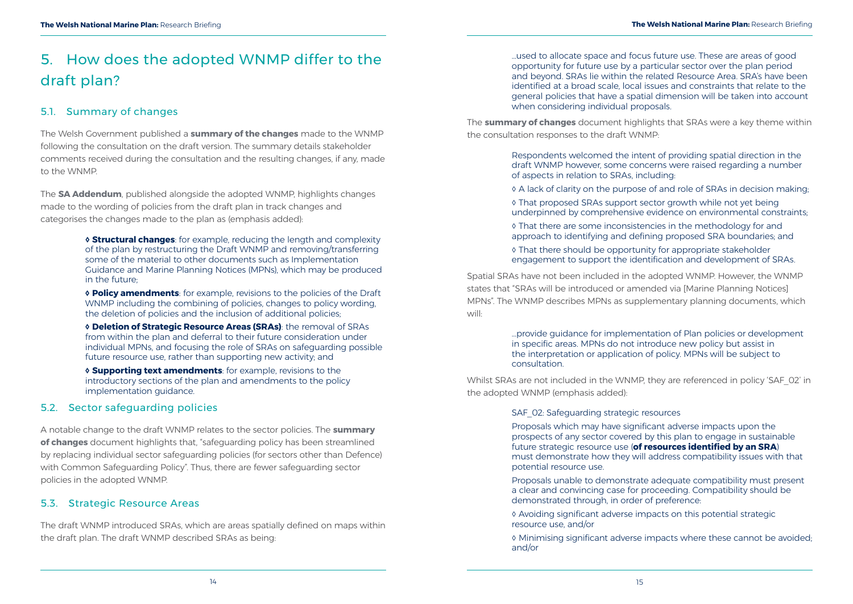# <span id="page-10-0"></span>5. How does the adopted WNMP differ to the draft plan?

# 5.1. Summary of changes

The Welsh Government published a **[summary of the changes](https://gov.wales/welsh-national-marine-plan-summary-changes-following-consultation-draft-plan)** made to the WNMP following the consultation on the draft version. The summary details stakeholder comments received during the consultation and the resulting changes, if any, made to the WNMP.

The **[SA Addendum](https://gov.wales/welsh-national-marine-plan-sustainability-appraisal)**, published alongside the adopted WNMP, highlights changes made to the wording of policies from the draft plan in track changes and categorises the changes made to the plan as (emphasis added):

> **◊ Structural changes**: for example, reducing the length and complexity of the plan by restructuring the Draft WNMP and removing/transferring some of the material to other documents such as Implementation Guidance and Marine Planning Notices (MPNs), which may be produced in the future;

> **◊ Policy amendments**: for example, revisions to the policies of the Draft WNMP including the combining of policies, changes to policy wording, the deletion of policies and the inclusion of additional policies;

> **◊ Deletion of Strategic Resource Areas (SRAs)**: the removal of SRAs from within the plan and deferral to their future consideration under individual MPNs, and focusing the role of SRAs on safeguarding possible future resource use, rather than supporting new activity; and

**◊ Supporting text amendments**: for example, revisions to the introductory sections of the plan and amendments to the policy implementation guidance.

## 5.2. Sector safeguarding policies

A notable change to the draft WNMP relates to the sector policies. The **[summary](https://gov.wales/marine-planning?_ga=2.151265598.626717032.1577976194-1348418462.1562142518)  [of changes](https://gov.wales/marine-planning?_ga=2.151265598.626717032.1577976194-1348418462.1562142518)** document highlights that, "safeguarding policy has been streamlined by replacing individual sector safeguarding policies (for sectors other than Defence) with Common Safeguarding Policy". Thus, there are fewer safeguarding sector policies in the adopted WNMP.

Whilst SRAs are not included in the WNMP, they are referenced in policy 'SAF\_02' in the adopted WNMP (emphasis added):

SAF 02: Safeguarding strategic resources

## 5.3. Strategic Resource Areas

The draft WNMP introduced SRAs, which are areas spatially defined on maps within the draft plan. The draft WNMP described SRAs as being:

…used to allocate space and focus future use. These are areas of good opportunity for future use by a particular sector over the plan period and beyond. SRAs lie within the related Resource Area. SRA's have been identified at a broad scale, local issues and constraints that relate to the general policies that have a spatial dimension will be taken into account when considering individual proposals.

The **[summary of changes](https://gov.wales/marine-planning?_ga=2.151265598.626717032.1577976194-1348418462.1562142518)** document highlights that SRAs were a key theme within the consultation responses to the draft WNMP:

> Respondents welcomed the intent of providing spatial direction in the draft WNMP however, some concerns were raised regarding a number of aspects in relation to SRAs, including:

◊ A lack of clarity on the purpose of and role of SRAs in decision making;

◊ That proposed SRAs support sector growth while not yet being underpinned by comprehensive evidence on environmental constraints;

◊ That there are some inconsistencies in the methodology for and approach to identifying and defining proposed SRA boundaries; and

◊ That there should be opportunity for appropriate stakeholder engagement to support the identification and development of SRAs.

Spatial SRAs have not been included in the adopted WNMP. However, the WNMP states that "SRAs will be introduced or amended via [Marine Planning Notices] MPNs". The WNMP describes MPNs as supplementary planning documents, which will:

> …provide guidance for implementation of Plan policies or development in specific areas. MPNs do not introduce new policy but assist in the interpretation or application of policy. MPNs will be subject to consultation.

> Proposals which may have significant adverse impacts upon the prospects of any sector covered by this plan to engage in sustainable future strategic resource use (**of resources identified by an SRA**) must demonstrate how they will address compatibility issues with that potential resource use.

> Proposals unable to demonstrate adequate compatibility must present a clear and convincing case for proceeding. Compatibility should be demonstrated through, in order of preference:

◊ Avoiding significant adverse impacts on this potential strategic resource use, and/or

◊ Minimising significant adverse impacts where these cannot be avoided; and/or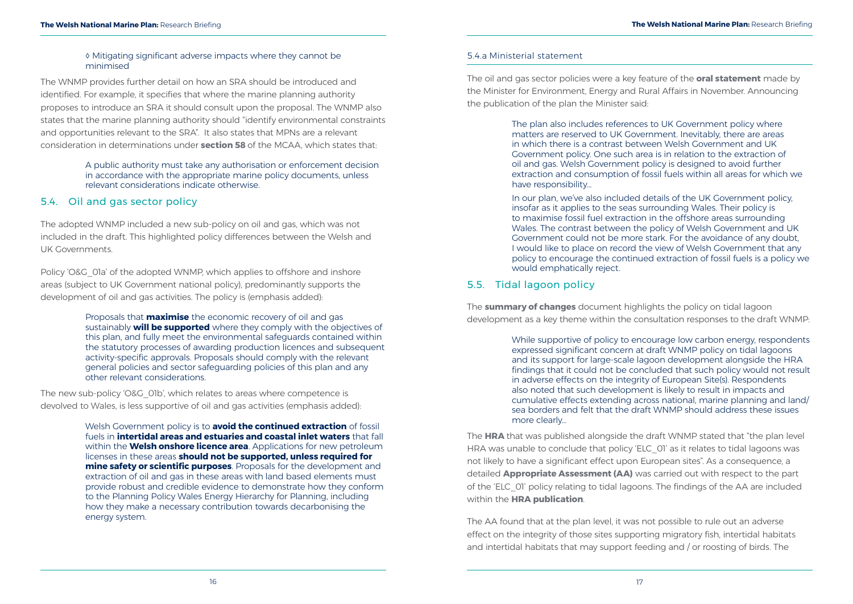### ◊ Mitigating significant adverse impacts where they cannot be minimised

<span id="page-11-0"></span>The WNMP provides further detail on how an SRA should be introduced and identified. For example, it specifies that where the marine planning authority proposes to introduce an SRA it should consult upon the proposal. The WNMP also states that the marine planning authority should "identify environmental constraints and opportunities relevant to the SRA". It also states that MPNs are a relevant consideration in determinations under **[section 58](http://www.legislation.gov.uk/ukpga/2009/23/section/58)** of the MCAA, which states that:

Policy 'O&G O1a' of the adopted WNMP, which applies to offshore and inshore areas (subject to UK Government national policy), predominantly supports the development of oil and gas activities. The policy is (emphasis added):

A public authority must take any authorisation or enforcement decision in accordance with the appropriate marine policy documents, unless relevant considerations indicate otherwise.

## 5.4. Oil and gas sector policy

The adopted WNMP included a new sub-policy on oil and gas, which was not included in the draft. This highlighted policy differences between the Welsh and UK Governments.

> Proposals that **maximise** the economic recovery of oil and gas sustainably **will be supported** where they comply with the objectives of this plan, and fully meet the environmental safeguards contained within the statutory processes of awarding production licences and subsequent activity-specific approvals. Proposals should comply with the relevant general policies and sector safeguarding policies of this plan and any other relevant considerations.

The new sub-policy 'O&G\_01b', which relates to areas where competence is devolved to Wales, is less supportive of oil and gas activities (emphasis added):

> Welsh Government policy is to **avoid the continued extraction** of fossil fuels in **intertidal areas and estuaries and coastal inlet waters** that fall within the **Welsh onshore licence area**. Applications for new petroleum licenses in these areas **should not be supported, unless required for mine safety or scientific purposes**. Proposals for the development and extraction of oil and gas in these areas with land based elements must provide robust and credible evidence to demonstrate how they conform to the Planning Policy Wales Energy Hierarchy for Planning, including how they make a necessary contribution towards decarbonising the energy system.

### 5.4.a Ministerial statement

The oil and gas sector policies were a key feature of the **oral statement** made by the Minister for Environment, Energy and Rural Affairs in November. Announcing the publication of the plan the Minister said:

> The plan also includes references to UK Government policy where matters are reserved to UK Government. Inevitably, there are areas in which there is a contrast between Welsh Government and UK Government policy. One such area is in relation to the extraction of oil and gas. Welsh Government policy is designed to avoid further extraction and consumption of fossil fuels within all areas for which we have responsibility...

In our plan, we've also included details of the UK Government policy, insofar as it applies to the seas surrounding Wales. Their policy is to maximise fossil fuel extraction in the offshore areas surrounding Wales. The contrast between the policy of Welsh Government and UK Government could not be more stark. For the avoidance of any doubt, I would like to place on record the view of Welsh Government that any policy to encourage the continued extraction of fossil fuels is a policy we would emphatically reject.

# 5.5. Tidal lagoon policy

The **[summary of changes](https://gov.wales/marine-planning?_ga=2.151265598.626717032.1577976194-1348418462.1562142518)** document highlights the policy on tidal lagoon development as a key theme within the consultation responses to the draft WNMP:

> While supportive of policy to encourage low carbon energy, respondents expressed significant concern at draft WNMP policy on tidal lagoons and its support for large-scale lagoon development alongside the HRA findings that it could not be concluded that such policy would not result in adverse effects on the integrity of European Site(s). Respondents also noted that such development is likely to result in impacts and cumulative effects extending across national, marine planning and land/ sea borders and felt that the draft WNMP should address these issues more clearly…

The **[HRA](https://gov.wales/draft-welsh-national-marine-plan)** that was published alongside the draft WNMP stated that "the plan level HRA was unable to conclude that policy 'ELC OI' as it relates to tidal lagoons was not likely to have a significant effect upon European sites". As a consequence, a detailed **[Appropriate Assessment \(AA\)](http://www.legislation.gov.uk/uksi/2017/1012/part/6/made)** was carried out with respect to the part of the 'ELC\_01' policy relating to tidal lagoons. The findings of the AA are included within the **[HRA publication](https://gov.wales/draft-welsh-national-marine-plan)**.

The AA found that at the plan level, it was not possible to rule out an adverse effect on the integrity of those sites supporting migratory fish, intertidal habitats and intertidal habitats that may support feeding and / or roosting of birds. The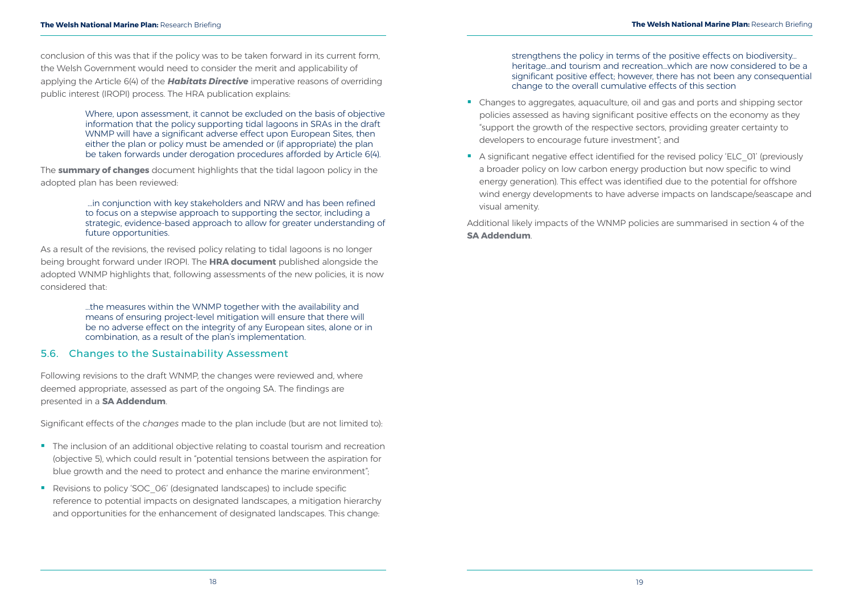<span id="page-12-0"></span>conclusion of this was that if the policy was to be taken forward in its current form, the Welsh Government would need to consider the merit and applicability of applying the Article 6(4) of the *[Habitats Directive](https://eur-lex.europa.eu/legal-content/EN/TXT/?uri=CELEX:31992L0043)* imperative reasons of overriding public interest (IROPI) process. The HRA publication explains:

> Where, upon assessment, it cannot be excluded on the basis of objective information that the policy supporting tidal lagoons in SRAs in the draft WNMP will have a significant adverse effect upon European Sites, then either the plan or policy must be amended or (if appropriate) the plan be taken forwards under derogation procedures afforded by Article 6(4).

The **[summary of changes](https://gov.wales/marine-planning?_ga=2.151265598.626717032.1577976194-1348418462.1562142518)** document highlights that the tidal lagoon policy in the adopted plan has been reviewed:

> …in conjunction with key stakeholders and NRW and has been refined to focus on a stepwise approach to supporting the sector, including a strategic, evidence-based approach to allow for greater understanding of future opportunities.

- The inclusion of an additional objective relating to coastal tourism and recreation (objective 5), which could result in "potential tensions between the aspiration for blue growth and the need to protect and enhance the marine environment";
- Revisions to policy 'SOC\_06' (designated landscapes) to include specific reference to potential impacts on designated landscapes, a mitigation hierarchy and opportunities for the enhancement of designated landscapes. This change:

As a result of the revisions, the revised policy relating to tidal lagoons is no longer being brought forward under IROPI. The **[HRA document](https://gov.wales/welsh-national-marine-plan-habitats-regulation-assessment)** published alongside the adopted WNMP highlights that, following assessments of the new policies, it is now considered that:

> …the measures within the WNMP together with the availability and means of ensuring project-level mitigation will ensure that there will be no adverse effect on the integrity of any European sites, alone or in combination, as a result of the plan's implementation.

### 5.6. Changes to the Sustainability Assessment

Following revisions to the draft WNMP, the changes were reviewed and, where deemed appropriate, assessed as part of the ongoing SA. The findings are presented in a **[SA Addendum](https://gov.wales/welsh-national-marine-plan-sustainability-appraisal)**.

Significant effects of the *changes* made to the plan include (but are not limited to):

strengthens the policy in terms of the positive effects on biodiversity… heritage…and tourism and recreation…which are now considered to be a significant positive effect; however, there has not been any consequential change to the overall cumulative effects of this section

- Changes to aggregates, aquaculture, oil and gas and ports and shipping sector policies assessed as having significant positive effects on the economy as they "support the growth of the respective sectors, providing greater certainty to developers to encourage future investment"; and
- A significant negative effect identified for the revised policy 'ELC\_01' (previously a broader policy on low carbon energy production but now specific to wind energy generation). This effect was identified due to the potential for offshore wind energy developments to have adverse impacts on landscape/seascape and visual amenity.

Additional likely impacts of the WNMP policies are summarised in section 4 of the **[SA Addendum](https://gov.wales/welsh-national-marine-plan-sustainability-appraisal)**.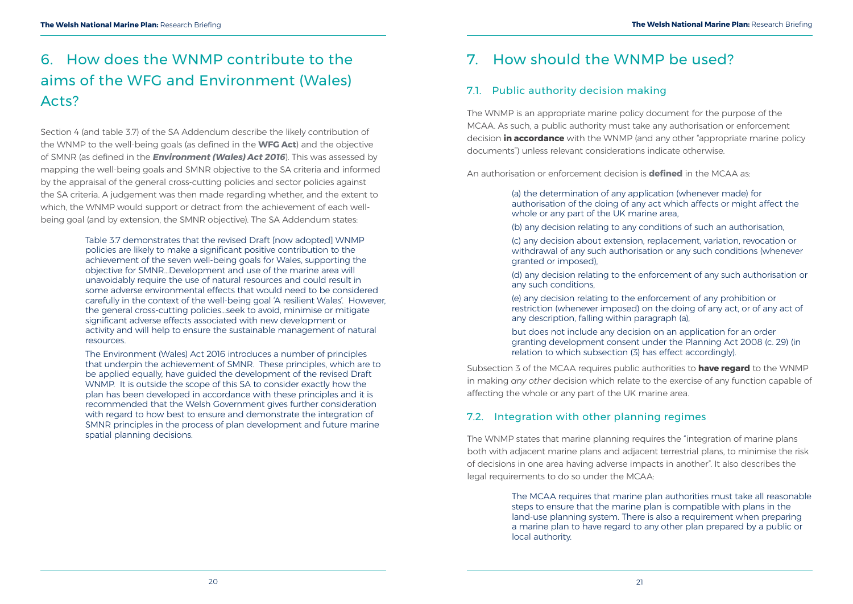# <span id="page-13-0"></span>6. How does the WNMP contribute to the aims of the WFG and Environment (Wales) Acts?

Section 4 (and table 3.7) of the SA Addendum describe the likely contribution of the WNMP to the well-being goals (as defined in the **[WFG Act](http://www.legislation.gov.uk/ukpga/2009/23/section/61)**) and the objective of SMNR (as defined in the *[Environment \(Wales\) Act 2016](http://www.legislation.gov.uk/anaw/2016/3/section/3/enacted)*). This was assessed by mapping the well-being goals and SMNR objective to the SA criteria and informed by the appraisal of the general cross-cutting policies and sector policies against the SA criteria. A judgement was then made regarding whether, and the extent to which, the WNMP would support or detract from the achievement of each wellbeing goal (and by extension, the SMNR objective). The SA Addendum states:

> Table 3.7 demonstrates that the revised Draft [now adopted] WNMP policies are likely to make a significant positive contribution to the achievement of the seven well-being goals for Wales, supporting the objective for SMNR...Development and use of the marine area will unavoidably require the use of natural resources and could result in some adverse environmental effects that would need to be considered carefully in the context of the well-being goal 'A resilient Wales'. However, the general cross-cutting policies…seek to avoid, minimise or mitigate significant adverse effects associated with new development or activity and will help to ensure the sustainable management of natural resources.

The Environment (Wales) Act 2016 introduces a number of principles that underpin the achievement of SMNR. These principles, which are to be applied equally, have guided the development of the revised Draft WNMP. It is outside the scope of this SA to consider exactly how the plan has been developed in accordance with these principles and it is recommended that the Welsh Government gives further consideration with regard to how best to ensure and demonstrate the integration of SMNR principles in the process of plan development and future marine spatial planning decisions.

# 7. How should the WNMP be used?

# 7.1. Public authority decision making

The WNMP is an appropriate marine policy document for the purpose of the MCAA. As such, a public authority must take any authorisation or enforcement decision **in accordance** with the WNMP (and any other "appropriate marine policy documents") unless relevant considerations indicate otherwise.

An authorisation or enforcement decision is **[defined](http://www.legislation.gov.uk/ukpga/2009/23/section/58)** in the MCAA as:

authorisation of the doing of any act which affects or might affect the

(b) any decision relating to any conditions of such an authorisation,

(c) any decision about extension, replacement, variation, revocation or withdrawal of any such authorisation or any such conditions (whenever

- (a) the determination of any application (whenever made) for whole or any part of the UK marine area.
- 
- granted or imposed),
- any such conditions,
- (e) any decision relating to the enforcement of any prohibition or any description, falling within paragraph (a),
- but does not include any decision on an application for an order relation to which subsection (3) has effect accordingly).

(d) any decision relating to the enforcement of any such authorisation or

restriction (whenever imposed) on the doing of any act, or of any act of

granting development consent under the Planning Act 2008 (c. 29) (in

Subsection 3 of the MCAA requires public authorities to **have regard** to the WNMP in making *any other* decision which relate to the exercise of any function capable of affecting the whole or any part of the UK marine area.

# 7.2. Integration with other planning regimes

The WNMP states that marine planning requires the "integration of marine plans both with adjacent marine plans and adjacent terrestrial plans, to minimise the risk of decisions in one area having adverse impacts in another". It also describes the legal requirements to do so under the MCAA:

> The MCAA requires that marine plan authorities must take all reasonable steps to ensure that the marine plan is compatible with plans in the land-use planning system. There is also a requirement when preparing a marine plan to have regard to any other plan prepared by a public or local authority.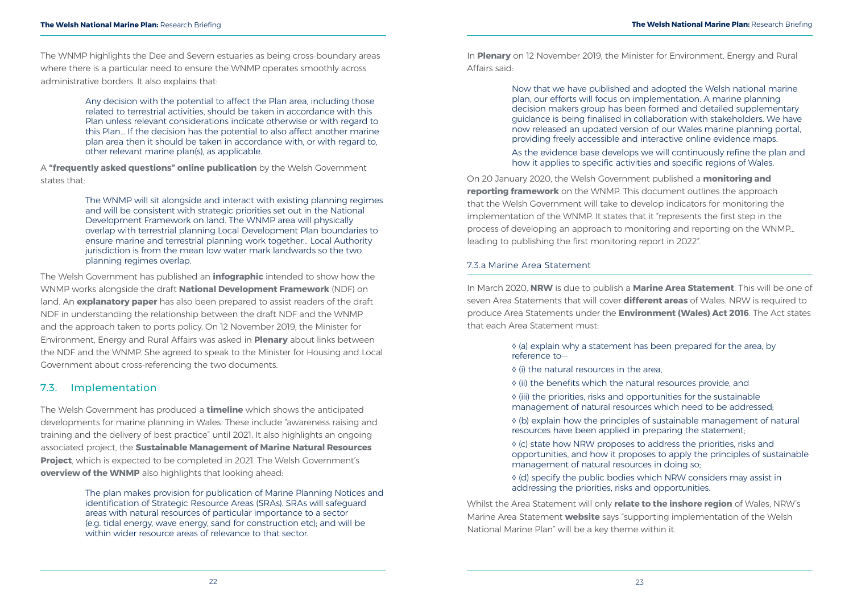- 
- 

<span id="page-14-0"></span>Any decision with the potential to affect the Plan area, including those related to terrestrial activities, should be taken in accordance with this Plan unless relevant considerations indicate otherwise or with regard to this Plan... If the decision has the potential to also affect another marine plan area then it should be taken in accordance with, or with regard to, other relevant marine plan(s), as applicable.

A **["frequently asked questions" online publication](https://gov.wales/marine-planning)** by the Welsh Government states that:

The Welsh Government has produced a **[timeline](https://gov.wales/welsh-national-marine-plan-timeline)** which shows the anticipated developments for marine planning in Wales. These include "awareness raising and training and the delivery of best practice" until 2021. It also highlights an ongoing associated project, the **[Sustainable Management of Marine Natural Resources](http://www.abpmer.co.uk/news-desk/news-archive/abpmer-to-deliver-sustainable-management-of-marine-natural-resources-project/)  [Project](http://www.abpmer.co.uk/news-desk/news-archive/abpmer-to-deliver-sustainable-management-of-marine-natural-resources-project/)**, which is expected to be completed in 2021. The Welsh Government's **[overview of the WNMP](https://gov.wales/welsh-national-marine-plan-wnmp-overview)** also highlights that looking ahead:

The WNMP will sit alongside and interact with existing planning regimes and will be consistent with strategic priorities set out in the National Development Framework on land. The WNMP area will physically overlap with terrestrial planning Local Development Plan boundaries to ensure marine and terrestrial planning work together… Local Authority jurisdiction is from the mean low water mark landwards so the two planning regimes overlap.

The Welsh Government has published an **[infographic](https://gov.wales/marine-and-terrestrial-planning-infographic)** intended to show how the WNMP works alongside the draft **[National Development Framework](https://gov.wales/national-development-framework)** (NDF) on land. An **[explanatory paper](https://gov.wales/welsh-national-marine-plan-and-ports-explanatory-paper)** has also been prepared to assist readers of the draft NDF in understanding the relationship between the draft NDF and the WNMP and the approach taken to ports policy. On 12 November 2019, the Minister for Environment, Energy and Rural Affairs was asked in **[Plenary](https://record.assembly.wales/Plenary/6041#A54369)** about links between the NDF and the WNMP. She agreed to speak to the Minister for Housing and Local Government about cross-referencing the two documents.

## 7.3. Implementation

The plan makes provision for publication of Marine Planning Notices and identification of Strategic Resource Areas (SRAs). SRAs will safeguard areas with natural resources of particular importance to a sector (e.g. tidal energy, wave energy, sand for construction etc); and will be within wider resource areas of relevance to that sector.

In **[Plenary](https://record.assembly.wales/Plenary/6041#A54369)** on 12 November 2019, the Minister for Environment, Energy and Rural Affairs said:

> Now that we have published and adopted the Welsh national marine plan, our efforts will focus on implementation. A marine planning decision makers group has been formed and detailed supplementary guidance is being finalised in collaboration with stakeholders. We have now released an updated version of our Wales marine planning portal, providing freely accessible and interactive online evidence maps.

> As the evidence base develops we will continuously refine the plan and how it applies to specific activities and specific regions of Wales.

On 20 January 2020, the Welsh Government published a **[monitoring and](https://gov.wales/welsh-national-marine-plan-monitoring-and-reporting-framework)  [reporting framework](https://gov.wales/welsh-national-marine-plan-monitoring-and-reporting-framework)** on the WNMP. This document outlines the approach that the Welsh Government will take to develop indicators for monitoring the implementation of the WNMP. It states that it "represents the first step in the process of developing an approach to monitoring and reporting on the WNMP... leading to publishing the first monitoring report in 2022".

#### 7.3.a Marine Area Statement

In March 2020, **[NRW](https://naturalresources.wales/?lang=en)** is due to publish a **[Marine Area Statement](https://naturalresources.wales/about-us/area-statements/marine-area-statement/?lang=en)**. This will be one of seven Area Statements that will cover **[different areas](https://naturalresources.wales/about-us/area-statements/?lang=en)** of Wales. NRW is required to produce Area Statements under the **[Environment \(Wales\) Act 2016](http://www.legislation.gov.uk/anaw/2016/3/section/11/enacted)**. The Act states that each Area Statement must:

> ◊ (a) explain why a statement has been prepared for the area, by reference to—

- ◊ (i) the natural resources in the area,
- ◊ (ii) the benefits which the natural resources provide, and
- ◊ (iii) the priorities, risks and opportunities for the sustainable management of natural resources which need to be addressed;
- ◊ (b) explain how the principles of sustainable management of natural resources have been applied in preparing the statement;
- ◊ (c) state how NRW proposes to address the priorities, risks and opportunities, and how it proposes to apply the principles of sustainable management of natural resources in doing so;
- ◊ (d) specify the public bodies which NRW considers may assist in addressing the priorities, risks and opportunities.

Whilst the Area Statement will only **[relate to the inshore region](https://naturalresources.wales/about-us/area-statements/marine-area-statement/?lang=en)** of Wales, NRW's Marine Area Statement **[website](https://naturalresources.wales/about-us/area-statements/marine-area-statement/?lang=en)** says "supporting implementation of the Welsh National Marine Plan" will be a key theme within it.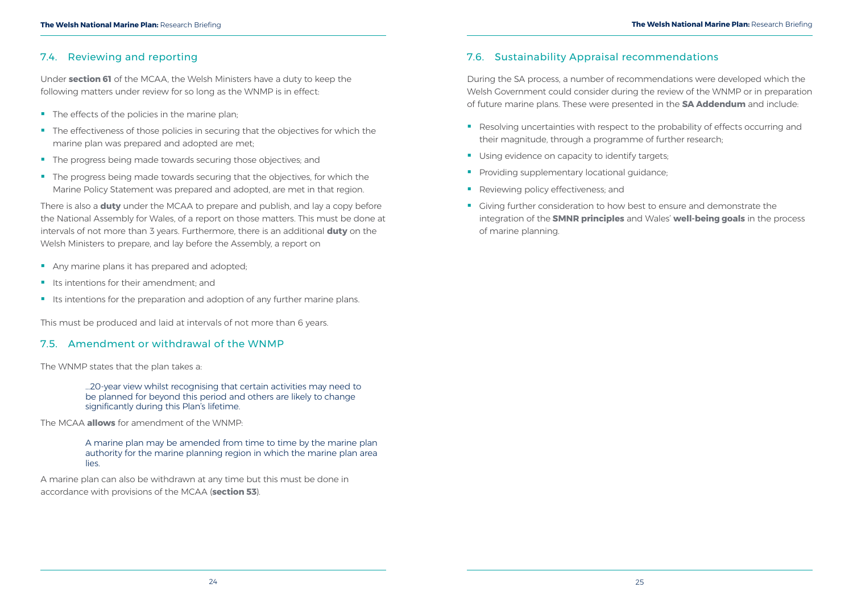<span id="page-15-0"></span>Under **[section 61](http://www.legislation.gov.uk/ukpga/2009/23/section/61)** of the MCAA, the Welsh Ministers have a duty to keep the following matters under review for so long as the WNMP is in effect:

- The effects of the policies in the marine plan;
- The effectiveness of those policies in securing that the objectives for which the marine plan was prepared and adopted are met;
- The progress being made towards securing those objectives; and
- The progress being made towards securing that the objectives, for which the Marine Policy Statement was prepared and adopted, are met in that region.

There is also a **[duty](http://www.legislation.gov.uk/ukpga/2009/23/section/61)** under the MCAA to prepare and publish, and lay a copy before the National Assembly for Wales, of a report on those matters. This must be done at intervals of not more than 3 years. Furthermore, there is an additional **[duty](http://www.legislation.gov.uk/ukpga/2009/23/section/61)** on the Welsh Ministers to prepare, and lay before the Assembly, a report on

- Any marine plans it has prepared and adopted;
- Its intentions for their amendment; and
- Its intentions for the preparation and adoption of any further marine plans.

This must be produced and laid at intervals of not more than 6 years.

## 7.5. Amendment or withdrawal of the WNMP

- Resolving uncertainties with respect to the probability of effects occurring and their magnitude, through a programme of further research;
- Using evidence on capacity to identify targets;
- **Providing supplementary locational quidance;**
- Reviewing policy effectiveness; and
- Giving further consideration to how best to ensure and demonstrate the integration of the **[SMNR principles](http://www.legislation.gov.uk/anaw/2016/3/section/4/enacted)** and Wales' **[well-being goals](http://www.legislation.gov.uk/anaw/2015/2/section/4/enacted)** in the process of marine planning.

The WNMP states that the plan takes a:

…20-year view whilst recognising that certain activities may need to be planned for beyond this period and others are likely to change significantly during this Plan's lifetime.

The MCAA **[allows](http://www.legislation.gov.uk/ukpga/2009/23/section/52)** for amendment of the WNMP:

A marine plan may be amended from time to time by the marine plan authority for the marine planning region in which the marine plan area lies.

A marine plan can also be withdrawn at any time but this must be done in accordance with provisions of the MCAA (**[section 53](http://www.legislation.gov.uk/ukpga/2009/23/section/53)**).

# 7.6. Sustainability Appraisal recommendations

During the SA process, a number of recommendations were developed which the Welsh Government could consider during the review of the WNMP or in preparation of future marine plans. These were presented in the **[SA Addendum](https://gov.wales/welsh-national-marine-plan-sustainability-appraisal)** and include: